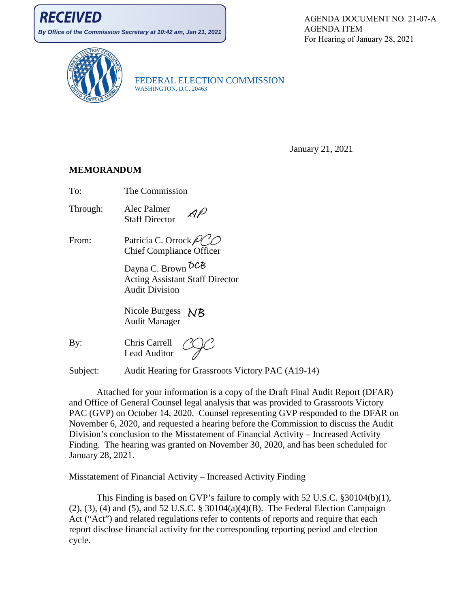**By Office of the Commission Secretary at 10:42 am, Jan 21, 2021**

AGENDA DOCUMENT NO. 21-07-A AGENDA ITEM For Hearing of January 28, 2021



FEDERAL ELECTION COMMISSION WASHINGTON, D.C. 20463

January 21, 2021

#### **MEMORANDUM**

To: The Commission

- Through: Alec Palmer AP Staff Director
- From: Patricia C. Orrock  $\mathcal{PQ}$ Chief Compliance Officer

Dayna C. Brown  $\delta$ CB Acting Assistant Staff Director Audit Division

Nicole Burgess NB Audit Manager

By: Chris Carrell Lead Auditor

Subject: Audit Hearing for Grassroots Victory PAC (A19-14)

Attached for your information is a copy of the Draft Final Audit Report (DFAR) and Office of General Counsel legal analysis that was provided to Grassroots Victory PAC (GVP) on October 14, 2020. Counsel representing GVP responded to the DFAR on November 6, 2020, and requested a hearing before the Commission to discuss the Audit Division's conclusion to the Misstatement of Financial Activity – Increased Activity Finding. The hearing was granted on November 30, 2020, and has been scheduled for January 28, 2021.

#### Misstatement of Financial Activity – Increased Activity Finding

This Finding is based on GVP's failure to comply with 52 U.S.C. §30104(b)(1), (2), (3), (4) and (5), and 52 U.S.C. § 30104(a)(4)(B). The Federal Election Campaign Act ("Act") and related regulations refer to contents of reports and require that each report disclose financial activity for the corresponding reporting period and election cycle.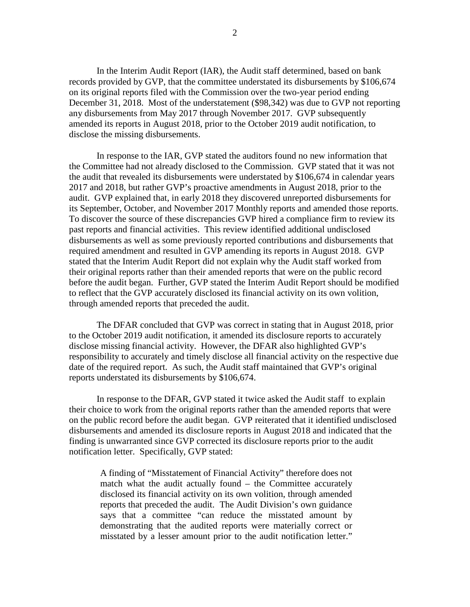In the Interim Audit Report (IAR), the Audit staff determined, based on bank records provided by GVP, that the committee understated its disbursements by \$106,674 on its original reports filed with the Commission over the two-year period ending December 31, 2018. Most of the understatement (\$98,342) was due to GVP not reporting any disbursements from May 2017 through November 2017. GVP subsequently amended its reports in August 2018, prior to the October 2019 audit notification, to disclose the missing disbursements.

In response to the IAR, GVP stated the auditors found no new information that the Committee had not already disclosed to the Commission. GVP stated that it was not the audit that revealed its disbursements were understated by \$106,674 in calendar years 2017 and 2018, but rather GVP's proactive amendments in August 2018, prior to the audit. GVP explained that, in early 2018 they discovered unreported disbursements for its September, October, and November 2017 Monthly reports and amended those reports. To discover the source of these discrepancies GVP hired a compliance firm to review its past reports and financial activities. This review identified additional undisclosed disbursements as well as some previously reported contributions and disbursements that required amendment and resulted in GVP amending its reports in August 2018. GVP stated that the Interim Audit Report did not explain why the Audit staff worked from their original reports rather than their amended reports that were on the public record before the audit began. Further, GVP stated the Interim Audit Report should be modified to reflect that the GVP accurately disclosed its financial activity on its own volition, through amended reports that preceded the audit.

The DFAR concluded that GVP was correct in stating that in August 2018, prior to the October 2019 audit notification, it amended its disclosure reports to accurately disclose missing financial activity. However, the DFAR also highlighted GVP's responsibility to accurately and timely disclose all financial activity on the respective due date of the required report. As such, the Audit staff maintained that GVP's original reports understated its disbursements by \$106,674.

In response to the DFAR, GVP stated it twice asked the Audit staff to explain their choice to work from the original reports rather than the amended reports that were on the public record before the audit began. GVP reiterated that it identified undisclosed disbursements and amended its disclosure reports in August 2018 and indicated that the finding is unwarranted since GVP corrected its disclosure reports prior to the audit notification letter. Specifically, GVP stated:

A finding of "Misstatement of Financial Activity" therefore does not match what the audit actually found – the Committee accurately disclosed its financial activity on its own volition, through amended reports that preceded the audit. The Audit Division's own guidance says that a committee "can reduce the misstated amount by demonstrating that the audited reports were materially correct or misstated by a lesser amount prior to the audit notification letter."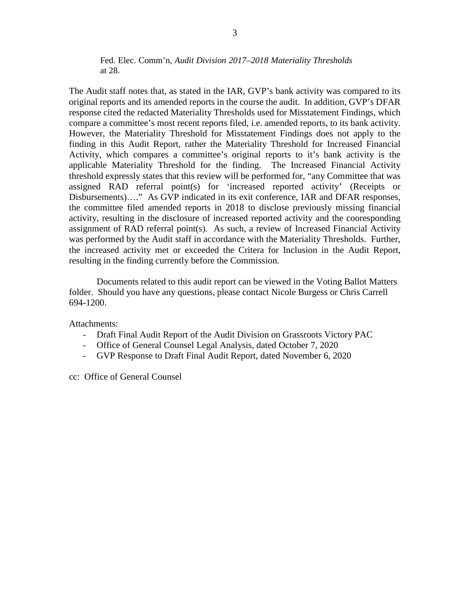Fed. Elec. Comm'n, *Audit Division 2017–2018 Materiality Thresholds*  at 28.

The Audit staff notes that, as stated in the IAR, GVP's bank activity was compared to its original reports and its amended reports in the course the audit. In addition, GVP's DFAR response cited the redacted Materiality Thresholds used for Misstatement Findings, which compare a committee's most recent reports filed, i.e. amended reports, to its bank activity. However, the Materiality Threshold for Misstatement Findings does not apply to the finding in this Audit Report, rather the Materiality Threshold for Increased Financial Activity, which compares a committee's original reports to it's bank activity is the applicable Materiality Threshold for the finding. The Increased Financial Activity threshold expressly states that this review will be performed for, "any Committee that was assigned RAD referral point(s) for 'increased reported activity' (Receipts or Disbursements)…." As GVP indicated in its exit conference, IAR and DFAR responses, the committee filed amended reports in 2018 to disclose previously missing financial activity, resulting in the disclosure of increased reported activity and the cooresponding assignment of RAD referral point(s). As such, a review of Increased Financial Activity was performed by the Audit staff in accordance with the Materiality Thresholds. Further, the increased activity met or exceeded the Critera for Inclusion in the Audit Report, resulting in the finding currently before the Commission.

Documents related to this audit report can be viewed in the Voting Ballot Matters folder. Should you have any questions, please contact Nicole Burgess or Chris Carrell 694-1200.

Attachments:

- Draft Final Audit Report of the Audit Division on Grassroots Victory PAC
- Office of General Counsel Legal Analysis, dated October 7, 2020
- GVP Response to Draft Final Audit Report, dated November 6, 2020

cc: Office of General Counsel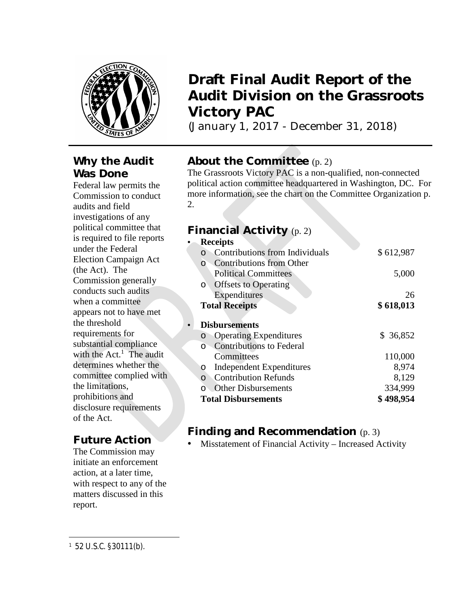

### **Why the Audit Was Done**

Federal law permits the Commission to conduct audits and field investigations of any political committee that is required to file reports under the Federal Election Campaign Act (the Act). The Commission generally conducts such audits when a committee appears not to have met the threshold requirements for substantial compliance with the  $Act.$ <sup>1</sup> The audit determines whether the committee complied with the limitations, prohibitions and disclosure requirements of the Act.

### **Future Action**

The Commission may initiate an enforcement action, at a later time, with respect to any of the matters discussed in this report.

## **Draft Final Audit Report of the Audit Division on the Grassroots Victory PAC**

(January 1, 2017 - December 31, 2018)

### **About the Committee** (p. 2)

The Grassroots Victory PAC is a non-qualified, non-connected political action committee headquartered in Washington, DC. For more information, see the chart on the Committee Organization p. 2.

### **Financial Activity** (p. 2)

| <b>Receipts</b>                        |           |  |  |  |  |
|----------------------------------------|-----------|--|--|--|--|
| <b>Contributions from Individuals</b>  | \$612,987 |  |  |  |  |
| Contributions from Other<br>O          |           |  |  |  |  |
| <b>Political Committees</b>            | 5,000     |  |  |  |  |
| <b>Offsets to Operating</b><br>$\circ$ |           |  |  |  |  |
| Expenditures                           | 26        |  |  |  |  |
| <b>Total Receipts</b>                  | \$618,013 |  |  |  |  |
|                                        |           |  |  |  |  |
| <b>Disbursements</b>                   |           |  |  |  |  |
| <b>Operating Expenditures</b><br>O     | \$ 36,852 |  |  |  |  |
| <b>Contributions to Federal</b><br>O   |           |  |  |  |  |
| Committees                             | 110,000   |  |  |  |  |
| Independent Expenditures<br>O          | 8,974     |  |  |  |  |
| <b>Contribution Refunds</b><br>$\circ$ | 8,129     |  |  |  |  |
| <b>Other Disbursements</b>             | 334,999   |  |  |  |  |
| <b>Total Disbursements</b>             | \$498,954 |  |  |  |  |

### **Finding and Recommendation** (p. 3)

Misstatement of Financial Activity – Increased Activity

<sup>1</sup> 52 U.S.C. §30111(b).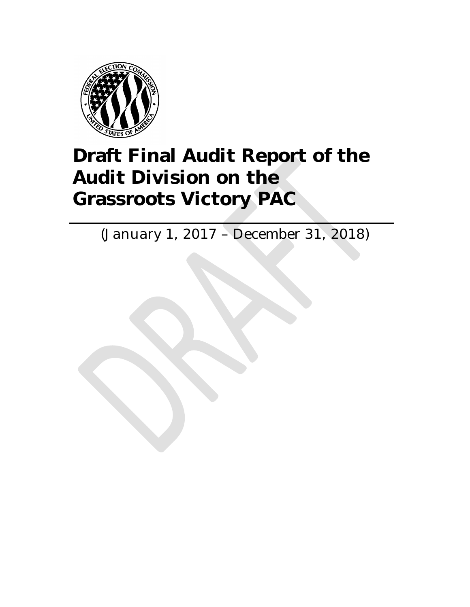

# **Draft Final Audit Report of the Audit Division on the Grassroots Victory PAC**

(January 1, 2017 – December 31, 2018)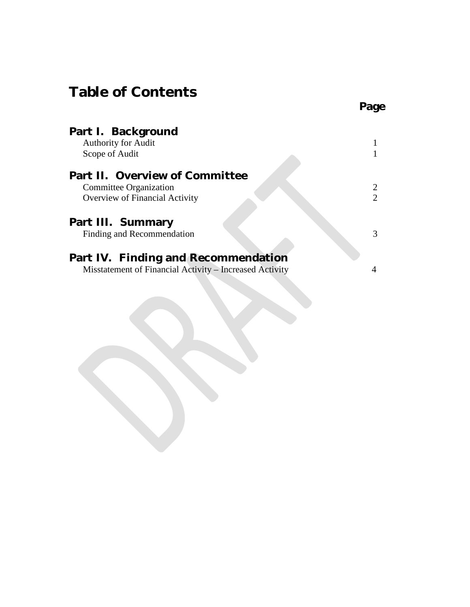## **Table of Contents**

| <b>Part I. Background</b><br><b>Authority for Audit</b> |   |
|---------------------------------------------------------|---|
| Scope of Audit                                          |   |
| <b>Part II. Overview of Committee</b>                   |   |
| Committee Organization                                  |   |
| Overview of Financial Activity                          | 2 |
| <b>Part III. Summary</b>                                |   |
| Finding and Recommendation                              | 3 |
| <b>Part IV. Finding and Recommendation</b>              |   |
| Misstatement of Financial Activity – Increased Activity |   |

**Page**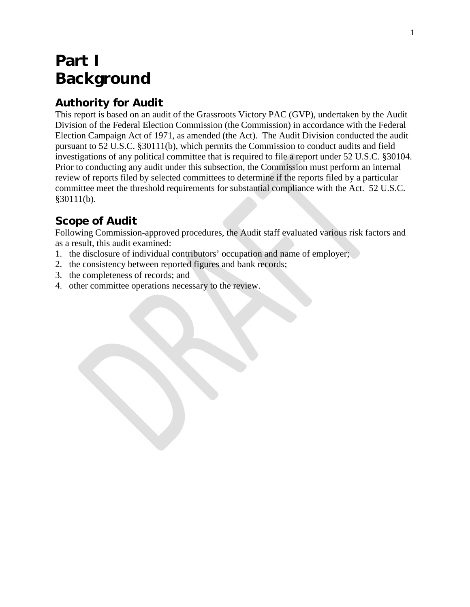## **Part I Background**

### **Authority for Audit**

This report is based on an audit of the Grassroots Victory PAC (GVP), undertaken by the Audit Division of the Federal Election Commission (the Commission) in accordance with the Federal Election Campaign Act of 1971, as amended (the Act). The Audit Division conducted the audit pursuant to 52 U.S.C. §30111(b), which permits the Commission to conduct audits and field investigations of any political committee that is required to file a report under 52 U.S.C. §30104. Prior to conducting any audit under this subsection, the Commission must perform an internal review of reports filed by selected committees to determine if the reports filed by a particular committee meet the threshold requirements for substantial compliance with the Act. 52 U.S.C. §30111(b).

## **Scope of Audit**

Following Commission-approved procedures, the Audit staff evaluated various risk factors and as a result, this audit examined:

- 1. the disclosure of individual contributors' occupation and name of employer;
- 2. the consistency between reported figures and bank records;
- 3. the completeness of records; and
- 4. other committee operations necessary to the review.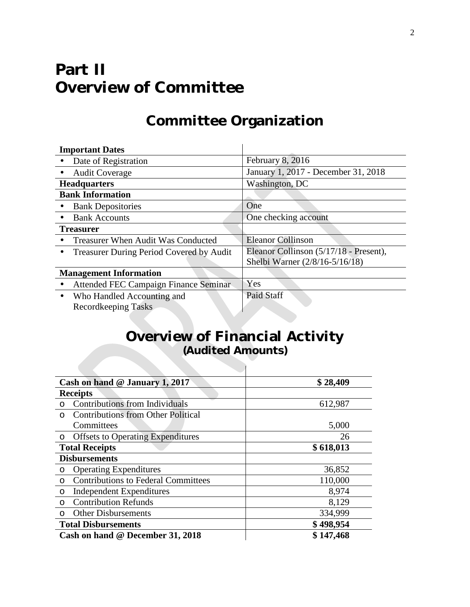## **Part II Overview of Committee**

## **Committee Organization**

|                               | <b>Important Dates</b>                          |                                        |
|-------------------------------|-------------------------------------------------|----------------------------------------|
|                               | Date of Registration                            | February 8, 2016                       |
|                               | <b>Audit Coverage</b>                           | January 1, 2017 - December 31, 2018    |
|                               | <b>Headquarters</b>                             | Washington, DC                         |
|                               | <b>Bank Information</b>                         |                                        |
| ٠                             | <b>Bank Depositories</b>                        | One                                    |
|                               | <b>Bank Accounts</b>                            | One checking account                   |
|                               | <b>Treasurer</b>                                |                                        |
|                               | Treasurer When Audit Was Conducted              | <b>Eleanor Collinson</b>               |
| $\blacksquare$                | <b>Treasurer During Period Covered by Audit</b> | Eleanor Collinson (5/17/18 - Present), |
|                               |                                                 | Shelbi Warner (2/8/16-5/16/18)         |
| <b>Management Information</b> |                                                 |                                        |
|                               | Attended FEC Campaign Finance Seminar           | Yes                                    |
| $\blacksquare$                | Who Handled Accounting and                      | Paid Staff                             |
|                               | Recordkeeping Tasks                             |                                        |

## **Overview of Financial Activity (Audited Amounts)**

 $\mathcal{L}$ 

| Cash on hand @ January 1, 2017                        | \$28,409  |
|-------------------------------------------------------|-----------|
| <b>Receipts</b>                                       |           |
| Contributions from Individuals<br>$\circ$             | 612,987   |
| <b>Contributions from Other Political</b><br>$\Omega$ |           |
| Committees                                            | 5,000     |
| <b>Offsets to Operating Expenditures</b><br>$\circ$   | 26        |
| \$618,013<br><b>Total Receipts</b>                    |           |
| <b>Disbursements</b>                                  |           |
| <b>Operating Expenditures</b><br>$\circ$              | 36,852    |
| <b>Contributions to Federal Committees</b><br>O       | 110,000   |
| Independent Expenditures<br>$\circ$                   | 8,974     |
| <b>Contribution Refunds</b><br>$\circ$                | 8,129     |
| <b>Other Disbursements</b><br>$\circ$                 | 334,999   |
| <b>Total Disbursements</b>                            | \$498,954 |
| Cash on hand @ December 31, 2018                      | \$147,468 |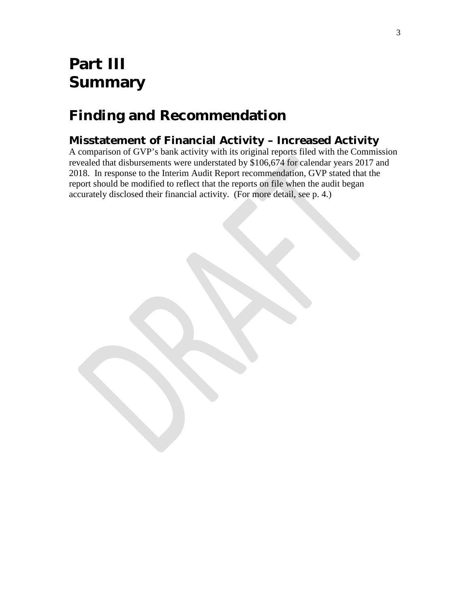## **Part III Summary**

## **Finding and Recommendation**

### **Misstatement of Financial Activity – Increased Activity**

A comparison of GVP's bank activity with its original reports filed with the Commission revealed that disbursements were understated by \$106,674 for calendar years 2017 and 2018. In response to the Interim Audit Report recommendation, GVP stated that the report should be modified to reflect that the reports on file when the audit began accurately disclosed their financial activity. (For more detail, see p. 4.)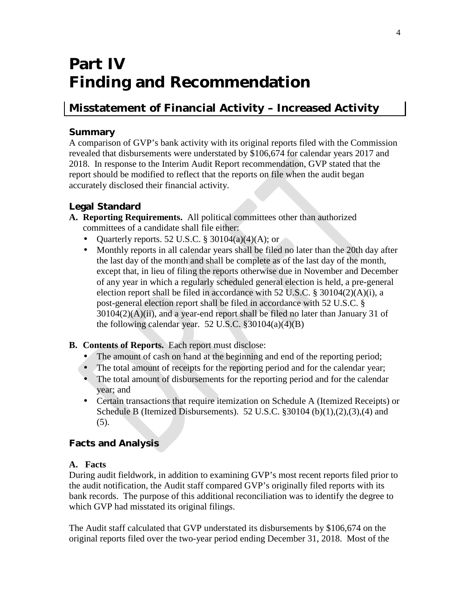## **Part IV Finding and Recommendation**

### **Misstatement of Financial Activity – Increased Activity**

#### **Summary**

A comparison of GVP's bank activity with its original reports filed with the Commission revealed that disbursements were understated by \$106,674 for calendar years 2017 and 2018. In response to the Interim Audit Report recommendation, GVP stated that the report should be modified to reflect that the reports on file when the audit began accurately disclosed their financial activity.

### **Legal Standard**

- **A. Reporting Requirements.** All political committees other than authorized committees of a candidate shall file either:
	- Quarterly reports. 52 U.S.C. § 30104(a)(4)(A); or
	- Monthly reports in all calendar years shall be filed no later than the 20th day after the last day of the month and shall be complete as of the last day of the month, except that, in lieu of filing the reports otherwise due in November and December of any year in which a regularly scheduled general election is held, a pre-general election report shall be filed in accordance with 52 U.S.C. § 30104(2)(A)(i), a post-general election report shall be filed in accordance with 52 U.S.C. §  $30104(2)$ (A)(ii), and a year-end report shall be filed no later than January 31 of the following calendar year. 52 U.S.C.  $\S 30104(a)(4)(B)$

#### **B. Contents of Reports.** Each report must disclose:

- The amount of cash on hand at the beginning and end of the reporting period;
- The total amount of receipts for the reporting period and for the calendar year;
- The total amount of disbursements for the reporting period and for the calendar year; and
- Certain transactions that require itemization on Schedule A (Itemized Receipts) or  $\mathcal{L}_{\rm{max}}$ Schedule B (Itemized Disbursements). 52 U.S.C.  $\S 30104$  (b)(1),(2),(3),(4) and (5).

### **Facts and Analysis**

### **A. Facts**

During audit fieldwork, in addition to examining GVP's most recent reports filed prior to the audit notification, the Audit staff compared GVP's originally filed reports with its bank records. The purpose of this additional reconciliation was to identify the degree to which GVP had misstated its original filings.

The Audit staff calculated that GVP understated its disbursements by \$106,674 on the original reports filed over the two-year period ending December 31, 2018. Most of the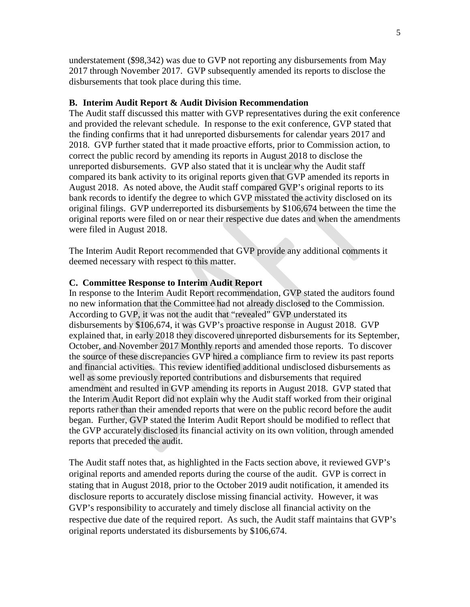understatement (\$98,342) was due to GVP not reporting any disbursements from May 2017 through November 2017. GVP subsequently amended its reports to disclose the disbursements that took place during this time.

#### **B. Interim Audit Report & Audit Division Recommendation**

The Audit staff discussed this matter with GVP representatives during the exit conference and provided the relevant schedule. In response to the exit conference, GVP stated that the finding confirms that it had unreported disbursements for calendar years 2017 and 2018. GVP further stated that it made proactive efforts, prior to Commission action, to correct the public record by amending its reports in August 2018 to disclose the unreported disbursements. GVP also stated that it is unclear why the Audit staff compared its bank activity to its original reports given that GVP amended its reports in August 2018. As noted above, the Audit staff compared GVP's original reports to its bank records to identify the degree to which GVP misstated the activity disclosed on its original filings. GVP underreported its disbursements by \$106,674 between the time the original reports were filed on or near their respective due dates and when the amendments were filed in August 2018.

The Interim Audit Report recommended that GVP provide any additional comments it deemed necessary with respect to this matter.

#### **C. Committee Response to Interim Audit Report**

In response to the Interim Audit Report recommendation, GVP stated the auditors found no new information that the Committee had not already disclosed to the Commission. According to GVP, it was not the audit that "revealed" GVP understated its disbursements by \$106,674, it was GVP's proactive response in August 2018. GVP explained that, in early 2018 they discovered unreported disbursements for its September, October, and November 2017 Monthly reports and amended those reports. To discover the source of these discrepancies GVP hired a compliance firm to review its past reports and financial activities. This review identified additional undisclosed disbursements as well as some previously reported contributions and disbursements that required amendment and resulted in GVP amending its reports in August 2018. GVP stated that the Interim Audit Report did not explain why the Audit staff worked from their original reports rather than their amended reports that were on the public record before the audit began. Further, GVP stated the Interim Audit Report should be modified to reflect that the GVP accurately disclosed its financial activity on its own volition, through amended reports that preceded the audit.

The Audit staff notes that, as highlighted in the Facts section above, it reviewed GVP's original reports and amended reports during the course of the audit. GVP is correct in stating that in August 2018, prior to the October 2019 audit notification, it amended its disclosure reports to accurately disclose missing financial activity. However, it was GVP's responsibility to accurately and timely disclose all financial activity on the respective due date of the required report. As such, the Audit staff maintains that GVP's original reports understated its disbursements by \$106,674.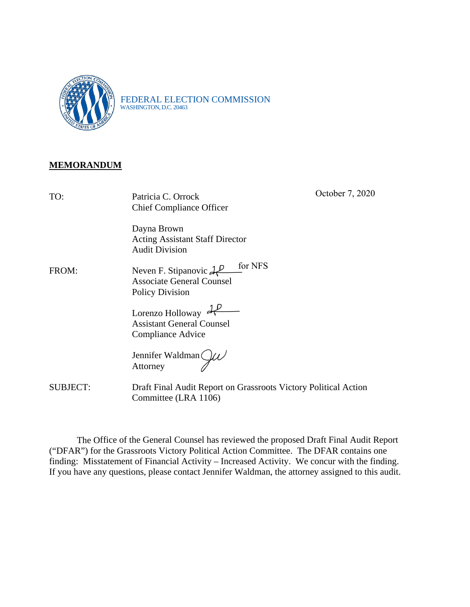

FEDERAL ELECTION COMMISSION WASHINGTON, D.C. 20463

### **MEMORANDUM**

| TO:             | Patricia C. Orrock<br><b>Chief Compliance Officer</b>                                          | October 7, 2020 |
|-----------------|------------------------------------------------------------------------------------------------|-----------------|
|                 | Dayna Brown<br><b>Acting Assistant Staff Director</b><br><b>Audit Division</b>                 |                 |
| FROM:           | Neven F. Stipanovic $AP$ for NFS<br><b>Associate General Counsel</b><br><b>Policy Division</b> |                 |
|                 | Lorenzo Holloway $dP$<br><b>Assistant General Counsel</b><br>Compliance Advice                 |                 |
|                 | Jennifer Waldman<br>Attorney                                                                   |                 |
| <b>SUBJECT:</b> | Draft Final Audit Report on Grassroots Victory Political Action<br>Committee (LRA 1106)        |                 |

The Office of the General Counsel has reviewed the proposed Draft Final Audit Report ("DFAR") for the Grassroots Victory Political Action Committee. The DFAR contains one finding: Misstatement of Financial Activity – Increased Activity. We concur with the finding. If you have any questions, please contact Jennifer Waldman, the attorney assigned to this audit.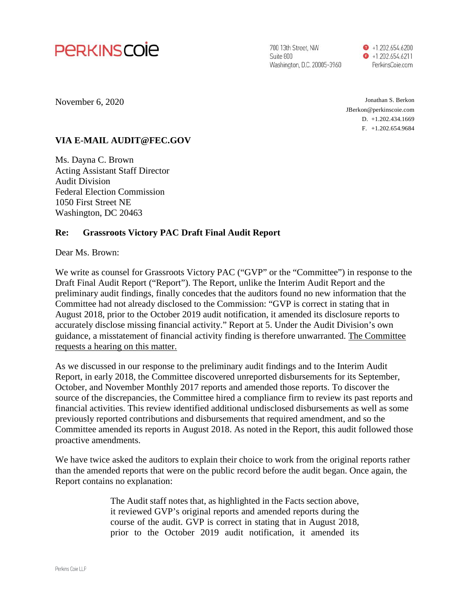

700 13th Street, NW Suite 800 Washington, D.C. 20005-3960  $\bullet$  +1.202.654.6200  $\bullet$  +1.202.654.6211 PerkinsCoie.com

November 6, 2020

Jonathan S. Berkon JBerkon@perkinscoie.com D. +1.202.434.1669 F. +1.202.654.9684

#### **VIA E-MAIL AUDIT@FEC.GOV**

Ms. Dayna C. Brown Acting Assistant Staff Director Audit Division Federal Election Commission 1050 First Street NE Washington, DC 20463

#### **Re: Grassroots Victory PAC Draft Final Audit Report**

Dear Ms. Brown:

We write as counsel for Grassroots Victory PAC ("GVP" or the "Committee") in response to the Draft Final Audit Report ("Report"). The Report, unlike the Interim Audit Report and the preliminary audit findings, finally concedes that the auditors found no new information that the Committee had not already disclosed to the Commission: "GVP is correct in stating that in August 2018, prior to the October 2019 audit notification, it amended its disclosure reports to accurately disclose missing financial activity." Report at 5. Under the Audit Division's own guidance, a misstatement of financial activity finding is therefore unwarranted. The Committee requests a hearing on this matter.

As we discussed in our response to the preliminary audit findings and to the Interim Audit Report, in early 2018, the Committee discovered unreported disbursements for its September, October, and November Monthly 2017 reports and amended those reports. To discover the source of the discrepancies, the Committee hired a compliance firm to review its past reports and financial activities. This review identified additional undisclosed disbursements as well as some previously reported contributions and disbursements that required amendment, and so the Committee amended its reports in August 2018. As noted in the Report, this audit followed those proactive amendments.

We have twice asked the auditors to explain their choice to work from the original reports rather than the amended reports that were on the public record before the audit began. Once again, the Report contains no explanation:

> The Audit staff notes that, as highlighted in the Facts section above, it reviewed GVP's original reports and amended reports during the course of the audit. GVP is correct in stating that in August 2018, prior to the October 2019 audit notification, it amended its